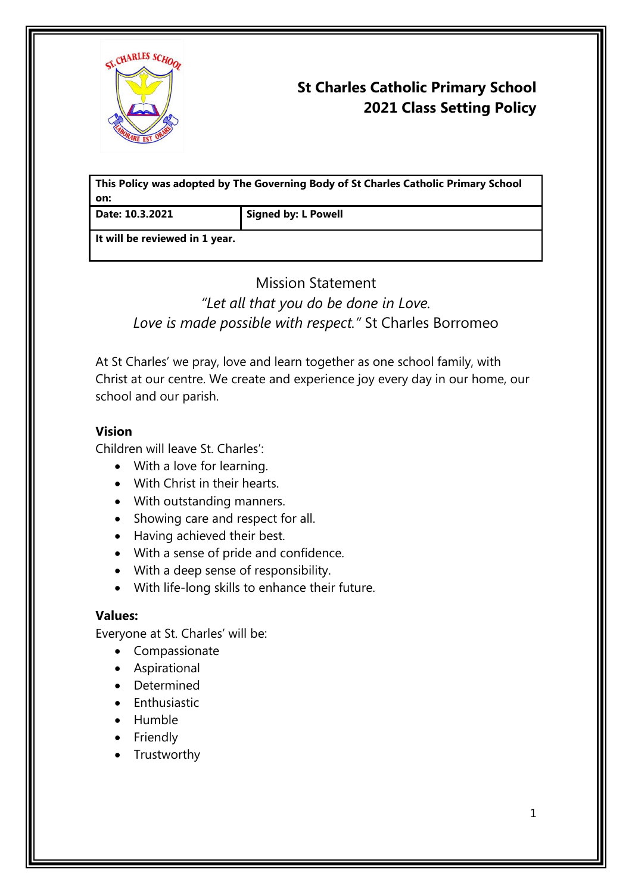

# **St Charles Catholic Primary School 2021 Class Setting Policy**

**This Policy was adopted by The Governing Body of St Charles Catholic Primary School on:**

**Date: 10.3.2021 Signed by: L Powell**

**It will be reviewed in 1 year.**

# Mission Statement *"Let all that you do be done in Love. Love is made possible with respect."* St Charles Borromeo

At St Charles' we pray, love and learn together as one school family, with Christ at our centre. We create and experience joy every day in our home, our school and our parish.

### **Vision**

Children will leave St. Charles':

- With a love for learning.
- With Christ in their hearts.
- With outstanding manners.
- Showing care and respect for all.
- Having achieved their best.
- With a sense of pride and confidence.
- With a deep sense of responsibility.
- With life-long skills to enhance their future.

### **Values:**

Everyone at St. Charles' will be:

- Compassionate
- Aspirational
- Determined
- **Enthusiastic**
- Humble
- Friendly
- Trustworthy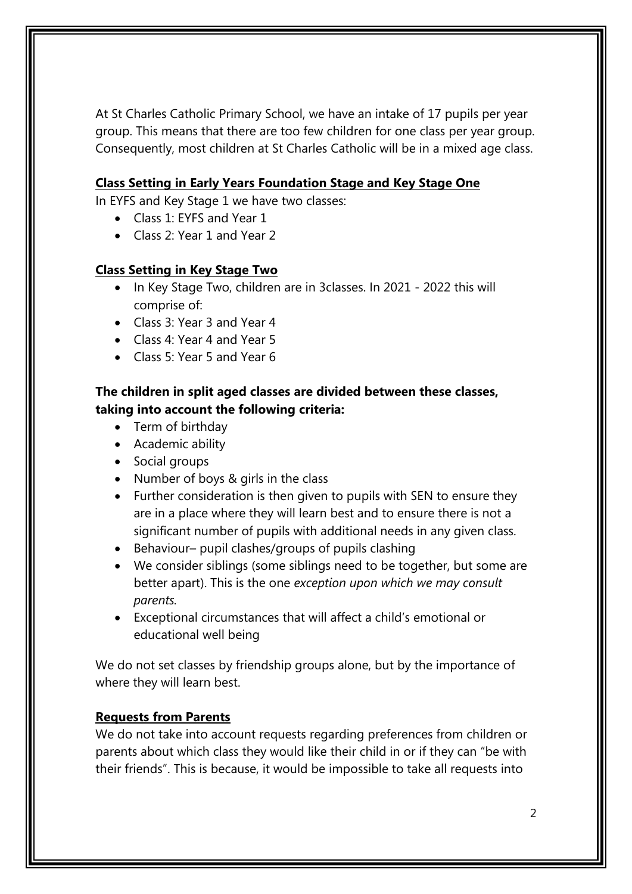At St Charles Catholic Primary School, we have an intake of 17 pupils per year group. This means that there are too few children for one class per year group. Consequently, most children at St Charles Catholic will be in a mixed age class.

## **Class Setting in Early Years Foundation Stage and Key Stage One**

In EYFS and Key Stage 1 we have two classes:

- Class 1: FYFS and Year 1
- Class 2: Year 1 and Year 2

## **Class Setting in Key Stage Two**

- In Key Stage Two, children are in 3classes. In 2021 2022 this will comprise of:
- Class 3: Year 3 and Year 4
- Class 4: Year 4 and Year 5
- Class 5: Year 5 and Year 6

# **The children in split aged classes are divided between these classes, taking into account the following criteria:**

- Term of birthday
- Academic ability
- Social groups
- Number of boys & girls in the class
- Further consideration is then given to pupils with SEN to ensure they are in a place where they will learn best and to ensure there is not a significant number of pupils with additional needs in any given class.
- Behaviour– pupil clashes/groups of pupils clashing
- We consider siblings (some siblings need to be together, but some are better apart). This is the one *exception upon which we may consult parents.*
- Exceptional circumstances that will affect a child's emotional or educational well being

We do not set classes by friendship groups alone, but by the importance of where they will learn best.

# **Requests from Parents**

We do not take into account requests regarding preferences from children or parents about which class they would like their child in or if they can "be with their friends". This is because, it would be impossible to take all requests into